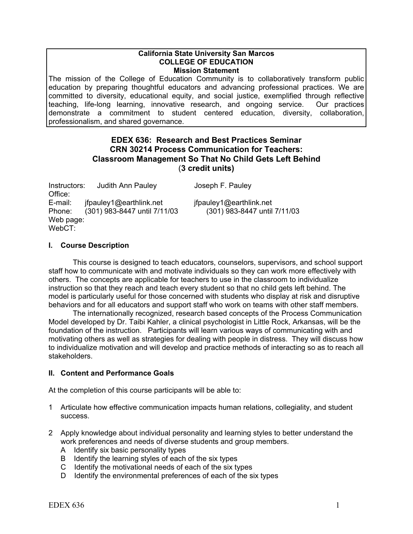#### **California State University San Marcos COLLEGE OF EDUCATION Mission Statement**

The mission of the College of Education Community is to collaboratively transform public education by preparing thoughtful educators and advancing professional practices. We are committed to diversity, educational equity, and social justice, exemplified through reflective teaching, life-long learning, innovative research, and ongoing service. Our practices demonstrate a commitment to student centered education, diversity, collaboration, professionalism, and shared governance.

# **EDEX 636: Research and Best Practices Seminar CRN 30214 Process Communication for Teachers: Classroom Management So That No Child Gets Left Behind** (**3 credit units)**

| Instructors: | Judith Ann Pauley            | Joseph F. Pauley             |
|--------------|------------------------------|------------------------------|
| Office:      |                              |                              |
| E-mail:      | ifpauley1@earthlink.net      | ifpauley1@earthlink.net      |
| Phone:       | (301) 983-8447 until 7/11/03 | (301) 983-8447 until 7/11/03 |
| Web page:    |                              |                              |
| WebCT:       |                              |                              |

# **I. Course Description**

This course is designed to teach educators, counselors, supervisors, and school support staff how to communicate with and motivate individuals so they can work more effectively with others. The concepts are applicable for teachers to use in the classroom to individualize instruction so that they reach and teach every student so that no child gets left behind. The model is particularly useful for those concerned with students who display at risk and disruptive behaviors and for all educators and support staff who work on teams with other staff members.

The internationally recognized, research based concepts of the Process Communication Model developed by Dr. Taibi Kahler, a clinical psychologist in Little Rock, Arkansas, will be the foundation of the instruction. Participants will learn various ways of communicating with and motivating others as well as strategies for dealing with people in distress. They will discuss how to individualize motivation and will develop and practice methods of interacting so as to reach all stakeholders.

# **II. Content and Performance Goals**

At the completion of this course participants will be able to:

- 1 Articulate how effective communication impacts human relations, collegiality, and student success.
- 2 Apply knowledge about individual personality and learning styles to better understand the work preferences and needs of diverse students and group members.
	- A Identify six basic personality types
	- B Identify the learning styles of each of the six types
	- C Identify the motivational needs of each of the six types
	- D Identify the environmental preferences of each of the six types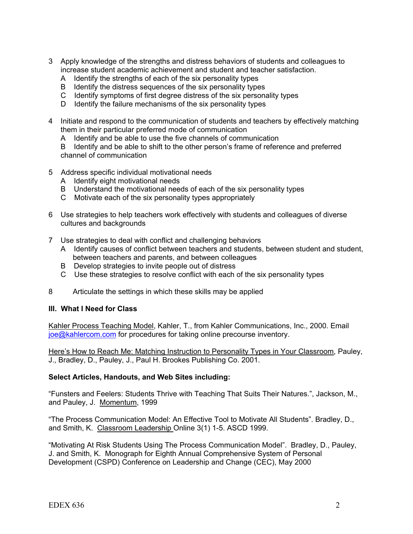- 3 Apply knowledge of the strengths and distress behaviors of students and colleagues to increase student academic achievement and student and teacher satisfaction.
	- A Identify the strengths of each of the six personality types
	- B Identify the distress sequences of the six personality types
	- C Identify symptoms of first degree distress of the six personality types
	- D Identify the failure mechanisms of the six personality types
- 4 Initiate and respond to the communication of students and teachers by effectively matching them in their particular preferred mode of communication
	- A Identify and be able to use the five channels of communication

B Identify and be able to shift to the other person's frame of reference and preferred channel of communication

- 5 Address specific individual motivational needs
	- A Identify eight motivational needs
	- B Understand the motivational needs of each of the six personality types
	- C Motivate each of the six personality types appropriately
- 6 Use strategies to help teachers work effectively with students and colleagues of diverse cultures and backgrounds
- 7 Use strategies to deal with conflict and challenging behaviors
	- A Identify causes of conflict between teachers and students, between student and student, between teachers and parents, and between colleagues
	- B Develop strategies to invite people out of distress
	- C Use these strategies to resolve conflict with each of the six personality types
- 8 Articulate the settings in which these skills may be applied

#### **III. What I Need for Class**

Kahler Process Teaching Model, Kahler, T., from Kahler Communications, Inc., 2000. Email [joe@kahlercom.com](mailto:joe@kahlercom.com) for procedures for taking online precourse inventory.

Here's How to Reach Me: Matching Instruction to Personality Types in Your Classroom, Pauley, J., Bradley, D., Pauley, J., Paul H. Brookes Publishing Co. 2001.

#### **Select Articles, Handouts, and Web Sites including:**

"Funsters and Feelers: Students Thrive with Teaching That Suits Their Natures.", Jackson, M., and Pauley, J. Momentum, 1999

"The Process Communication Model: An Effective Tool to Motivate All Students". Bradley, D., and Smith, K. Classroom Leadership Online 3(1) 1-5. ASCD 1999.

"Motivating At Risk Students Using The Process Communication Model". Bradley, D., Pauley, J. and Smith, K. Monograph for Eighth Annual Comprehensive System of Personal Development (CSPD) Conference on Leadership and Change (CEC), May 2000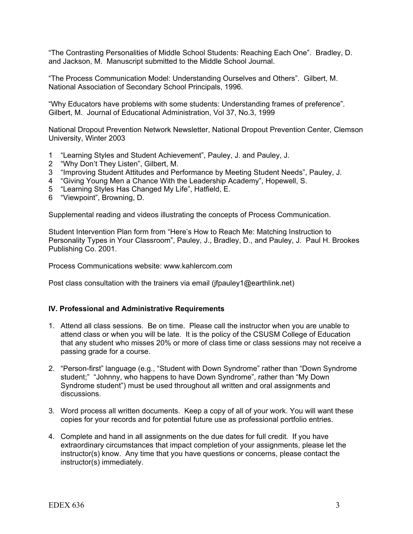"The Contrasting Personalities of Middle School Students: Reaching Each One". Bradley, D. and Jackson, M. Manuscript submitted to the Middle School Journal.

"The Process Communication Model: Understanding Ourselves and Others". Gilbert, M. National Association of Secondary School Principals, 1996.

"Why Educators have problems with some students: Understanding frames of preference". Gilbert, M. Journal of Educational Administration, Vol 37, No.3, 1999

National Dropout Prevention Network Newsletter, National Dropout Prevention Center, Clemson University, Winter 2003

- 1 "Learning Styles and Student Achievement", Pauley, J. and Pauley, J.
- 2 "Why Don't They Listen", Gilbert, M.
- 3 "Improving Student Attitudes and Performance by Meeting Student Needs", Pauley, J.
- 4 "Giving Young Men a Chance With the Leadership Academy", Hopewell, S.
- 5 "Learning Styles Has Changed My Life", Hatfield, E.
- 6 "Viewpoint", Browning, D.

Supplemental reading and videos illustrating the concepts of Process Communication.

Student Intervention Plan form from "Here's How to Reach Me: Matching Instruction to Personality Types in Your Classroom", Pauley, J., Bradley, D., and Pauley, J. Paul H. Brookes Publishing Co. 2001.

Process Communications website: www.kahlercom.com

Post class consultation with the trainers via email (ifpauley1@earthlink.net)

#### **IV. Professional and Administrative Requirements**

- 1. Attend all class sessions. Be on time. Please call the instructor when you are unable to attend class or when you will be late. It is the policy of the CSUSM College of Education that any student who misses 20% or more of class time or class sessions may not receive a passing grade for a course.
- 2. "Person-first" language (e.g., "Student with Down Syndrome" rather than "Down Syndrome student;" "Johnny, who happens to have Down Syndrome", rather than "My Down Syndrome student") must be used throughout all written and oral assignments and discussions.
- 3. Word process all written documents. Keep a copy of all of your work. You will want these copies for your records and for potential future use as professional portfolio entries.
- 4. Complete and hand in all assignments on the due dates for full credit. If you have extraordinary circumstances that impact completion of your assignments, please let the instructor(s) know. Any time that you have questions or concerns, please contact the instructor(s) immediately.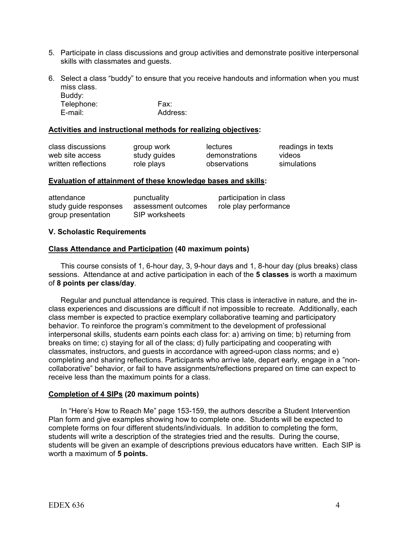- 5. Participate in class discussions and group activities and demonstrate positive interpersonal skills with classmates and guests.
- 6. Select a class "buddy" to ensure that you receive handouts and information when you must miss class. Buddy:

Telephone: Fax: E-mail: Address:

### **Activities and instructional methods for realizing objectives:**

| class discussions   |  |
|---------------------|--|
| web site access     |  |
| written reflections |  |

study guides demonstrations videos role plays observations simulations

group work lectures readings in texts

#### **Evaluation of attainment of these knowledge bases and skills:**

| attendance            | punctuality         | participation in class |
|-----------------------|---------------------|------------------------|
| study guide responses | assessment outcomes | role play performance  |
| group presentation    | SIP worksheets      |                        |

#### **V. Scholastic Requirements**

#### **Class Attendance and Participation (40 maximum points)**

This course consists of 1, 6-hour day, 3, 9-hour days and 1, 8-hour day (plus breaks) class sessions. Attendance at and active participation in each of the **5 classes** is worth a maximum of **8 points per class/day**.

Regular and punctual attendance is required. This class is interactive in nature, and the inclass experiences and discussions are difficult if not impossible to recreate. Additionally, each class member is expected to practice exemplary collaborative teaming and participatory behavior. To reinforce the program's commitment to the development of professional interpersonal skills, students earn points each class for: a) arriving on time; b) returning from breaks on time; c) staying for all of the class; d) fully participating and cooperating with classmates, instructors, and guests in accordance with agreed-upon class norms; and e) completing and sharing reflections. Participants who arrive late, depart early, engage in a "noncollaborative" behavior, or fail to have assignments/reflections prepared on time can expect to receive less than the maximum points for a class.

# **Completion of 4 SIPs (20 maximum points)**

In "Here's How to Reach Me" page 153-159, the authors describe a Student Intervention Plan form and give examples showing how to complete one. Students will be expected to complete forms on four different students/individuals. In addition to completing the form, students will write a description of the strategies tried and the results. During the course, students will be given an example of descriptions previous educators have written. Each SIP is worth a maximum of **5 points.**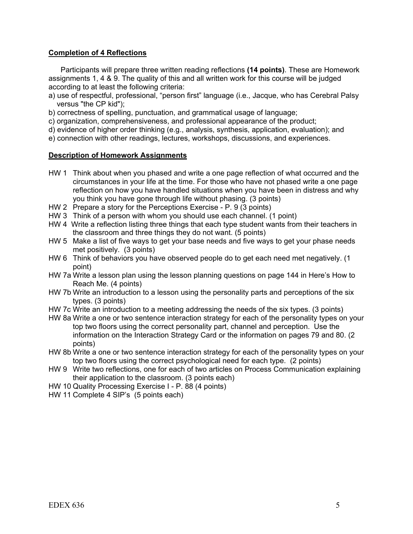# **Completion of 4 Reflections**

Participants will prepare three written reading reflections **(14 points)**. These are Homework assignments 1, 4 & 9. The quality of this and all written work for this course will be judged according to at least the following criteria:

- a) use of respectful, professional, "person first" language (i.e., Jacque, who has Cerebral Palsy versus "the CP kid");
- b) correctness of spelling, punctuation, and grammatical usage of language;
- c) organization, comprehensiveness, and professional appearance of the product;
- d) evidence of higher order thinking (e.g., analysis, synthesis, application, evaluation); and
- e) connection with other readings, lectures, workshops, discussions, and experiences.

#### **Description of Homework Assignments**

- HW 1 Think about when you phased and write a one page reflection of what occurred and the circumstances in your life at the time. For those who have not phased write a one page reflection on how you have handled situations when you have been in distress and why you think you have gone through life without phasing. (3 points)
- HW 2 Prepare a story for the Perceptions Exercise P. 9 (3 points)
- HW 3 Think of a person with whom you should use each channel. (1 point)
- HW 4 Write a reflection listing three things that each type student wants from their teachers in the classroom and three things they do not want. (5 points)
- HW 5 Make a list of five ways to get your base needs and five ways to get your phase needs met positively. (3 points)
- HW 6 Think of behaviors you have observed people do to get each need met negatively. (1 point)
- HW 7a Write a lesson plan using the lesson planning questions on page 144 in Here's How to Reach Me. (4 points)
- HW 7b Write an introduction to a lesson using the personality parts and perceptions of the six types. (3 points)
- HW 7c Write an introduction to a meeting addressing the needs of the six types. (3 points)
- HW 8a Write a one or two sentence interaction strategy for each of the personality types on your top two floors using the correct personality part, channel and perception. Use the information on the Interaction Strategy Card or the information on pages 79 and 80. (2 points)
- HW 8b Write a one or two sentence interaction strategy for each of the personality types on your top two floors using the correct psychological need for each type. (2 points)
- HW 9 Write two reflections, one for each of two articles on Process Communication explaining their application to the classroom. (3 points each)
- HW 10 Quality Processing Exercise I P. 88 (4 points)
- HW 11 Complete 4 SIP's (5 points each)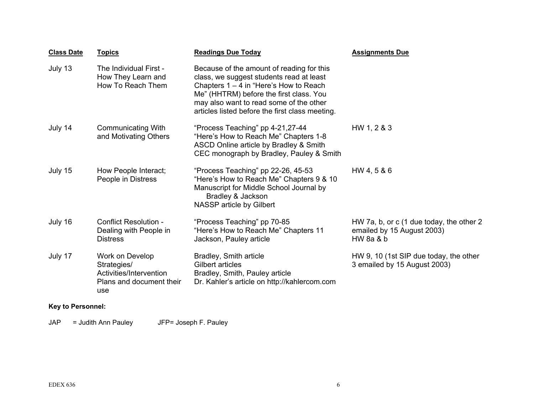| <b>Class Date</b> | <b>Topics</b>                                                                                | <b>Readings Due Today</b>                                                                                                                                                                                                                                                   | <b>Assignments Due</b>                                                              |
|-------------------|----------------------------------------------------------------------------------------------|-----------------------------------------------------------------------------------------------------------------------------------------------------------------------------------------------------------------------------------------------------------------------------|-------------------------------------------------------------------------------------|
| July 13           | The Individual First -<br>How They Learn and<br>How To Reach Them                            | Because of the amount of reading for this<br>class, we suggest students read at least<br>Chapters $1 - 4$ in "Here's How to Reach"<br>Me" (HHTRM) before the first class. You<br>may also want to read some of the other<br>articles listed before the first class meeting. |                                                                                     |
| July 14           | <b>Communicating With</b><br>and Motivating Others                                           | "Process Teaching" pp 4-21,27-44<br>"Here's How to Reach Me" Chapters 1-8<br>ASCD Online article by Bradley & Smith<br>CEC monograph by Bradley, Pauley & Smith                                                                                                             | HW 1, 2 & 3                                                                         |
| July 15           | How People Interact;<br>People in Distress                                                   | "Process Teaching" pp 22-26, 45-53<br>"Here's How to Reach Me" Chapters 9 & 10<br>Manuscript for Middle School Journal by<br>Bradley & Jackson<br>NASSP article by Gilbert                                                                                                  | HW 4, 5 & 6                                                                         |
| July 16           | Conflict Resolution -<br>Dealing with People in<br><b>Distress</b>                           | "Process Teaching" pp 70-85<br>"Here's How to Reach Me" Chapters 11<br>Jackson, Pauley article                                                                                                                                                                              | HW 7a, b, or c (1 due today, the other 2<br>emailed by 15 August 2003)<br>HW 8a & b |
| July 17           | Work on Develop<br>Strategies/<br>Activities/Intervention<br>Plans and document their<br>use | Bradley, Smith article<br>Gilbert articles<br>Bradley, Smith, Pauley article<br>Dr. Kahler's article on http://kahlercom.com                                                                                                                                                | HW 9, 10 (1st SIP due today, the other<br>3 emailed by 15 August 2003)              |

# **Key to Personnel:**

JAP = Judith Ann Pauley JFP= Joseph F. Pauley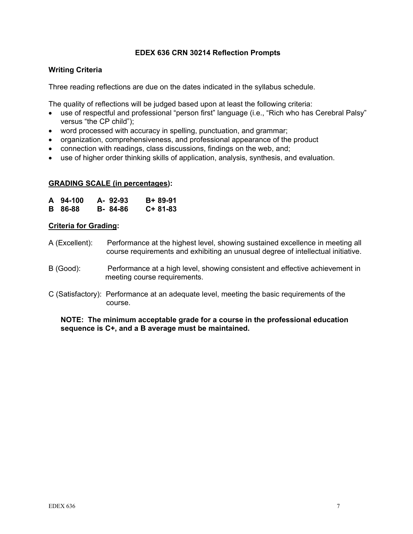### **EDEX 636 CRN 30214 Reflection Prompts**

### **Writing Criteria**

Three reading reflections are due on the dates indicated in the syllabus schedule.

The quality of reflections will be judged based upon at least the following criteria:

- use of respectful and professional "person first" language (i.e., "Rich who has Cerebral Palsy" versus "the CP child");
- word processed with accuracy in spelling, punctuation, and grammar;
- organization, comprehensiveness, and professional appearance of the product
- connection with readings, class discussions, findings on the web, and;
- use of higher order thinking skills of application, analysis, synthesis, and evaluation.

#### **GRADING SCALE (in percentages):**

| A 94-100       | A-92-93 | B+ 89-91  |
|----------------|---------|-----------|
| <b>B</b> 86-88 | B-84-86 | $C+81-83$ |

#### **Criteria for Grading:**

- A (Excellent): Performance at the highest level, showing sustained excellence in meeting all course requirements and exhibiting an unusual degree of intellectual initiative.
- B (Good): Performance at a high level, showing consistent and effective achievement in meeting course requirements.
- C (Satisfactory): Performance at an adequate level, meeting the basic requirements of the course.

#### **NOTE: The minimum acceptable grade for a course in the professional education sequence is C+, and a B average must be maintained.**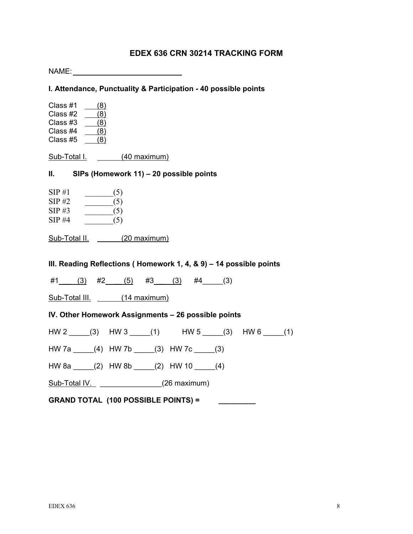# **EDEX 636 CRN 30214 TRACKING FORM**

| NAME: A CONTROLLER STATE OF THE STATE OF THE STATE OF THE STATE OF THE STATE OF THE STATE OF THE STATE OF THE STATE OF THE STATE OF THE STATE OF THE STATE OF THE STATE OF THE STATE OF THE STATE OF THE STATE OF THE STATE OF |  |  |
|--------------------------------------------------------------------------------------------------------------------------------------------------------------------------------------------------------------------------------|--|--|
| I. Attendance, Punctuality & Participation - 40 possible points                                                                                                                                                                |  |  |
| Class #1<br>(8)<br>Class #2<br>$\frac{1}{2}$ (8)<br>Class #3<br>(8)<br>Class #4<br>(8)<br>Class #5<br>(8)                                                                                                                      |  |  |
| Sub-Total I. (40 maximum)                                                                                                                                                                                                      |  |  |
| <b>II.</b><br>SIPs (Homework 11) – 20 possible points                                                                                                                                                                          |  |  |
| SIP#1<br>(5)<br>SIP#2<br>$\frac{(-1)^{1}}{2}$<br>$SIP \#3$<br>$\frac{1}{\sqrt{5}}$<br>SIP#4<br>$\frac{1}{\sqrt{5}}$                                                                                                            |  |  |
| Sub-Total II. (20 maximum)                                                                                                                                                                                                     |  |  |
| III. Reading Reflections (Homework 1, 4, & 9) – 14 possible points                                                                                                                                                             |  |  |
| $\#1$ (3) $\#2$ (5) $\#3$ (3) $\#4$ (3)                                                                                                                                                                                        |  |  |
| Sub-Total III. (14 maximum)                                                                                                                                                                                                    |  |  |
| IV. Other Homework Assignments - 26 possible points                                                                                                                                                                            |  |  |
| $HW 2$ (3) HW 3 (1) HW 5 (3) HW 6 (1)                                                                                                                                                                                          |  |  |
| HW 7a _____(4) HW 7b _____(3) HW 7c _____(3)                                                                                                                                                                                   |  |  |
| HW 8a _____(2) HW 8b _____(2) HW 10 _____(4)                                                                                                                                                                                   |  |  |
| Sub-Total IV. (26 maximum)                                                                                                                                                                                                     |  |  |
| <b>GRAND TOTAL (100 POSSIBLE POINTS) =</b>                                                                                                                                                                                     |  |  |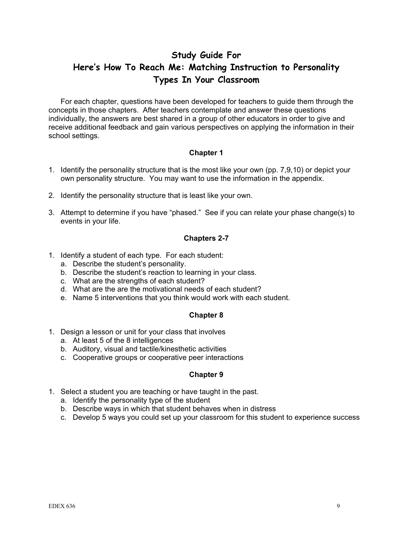# **Study Guide For Here's How To Reach Me: Matching Instruction to Personality Types In Your Classroom**

For each chapter, questions have been developed for teachers to guide them through the concepts in those chapters. After teachers contemplate and answer these questions individually, the answers are best shared in a group of other educators in order to give and receive additional feedback and gain various perspectives on applying the information in their school settings.

#### **Chapter 1**

- 1. Identify the personality structure that is the most like your own (pp. 7,9,10) or depict your own personality structure. You may want to use the information in the appendix.
- 2. Identify the personality structure that is least like your own.
- 3. Attempt to determine if you have "phased." See if you can relate your phase change(s) to events in your life.

#### **Chapters 2-7**

- 1. Identify a student of each type. For each student:
	- a. Describe the student's personality.
	- b. Describe the student's reaction to learning in your class.
	- c. What are the strengths of each student?
	- d. What are the are the motivational needs of each student?
	- e. Name 5 interventions that you think would work with each student.

# **Chapter 8**

- 1. Design a lesson or unit for your class that involves
	- a. At least 5 of the 8 intelligences
	- b. Auditory, visual and tactile/kinesthetic activities
	- c. Cooperative groups or cooperative peer interactions

# **Chapter 9**

- 1. Select a student you are teaching or have taught in the past.
	- a. Identify the personality type of the student
	- b. Describe ways in which that student behaves when in distress
	- c. Develop 5 ways you could set up your classroom for this student to experience success